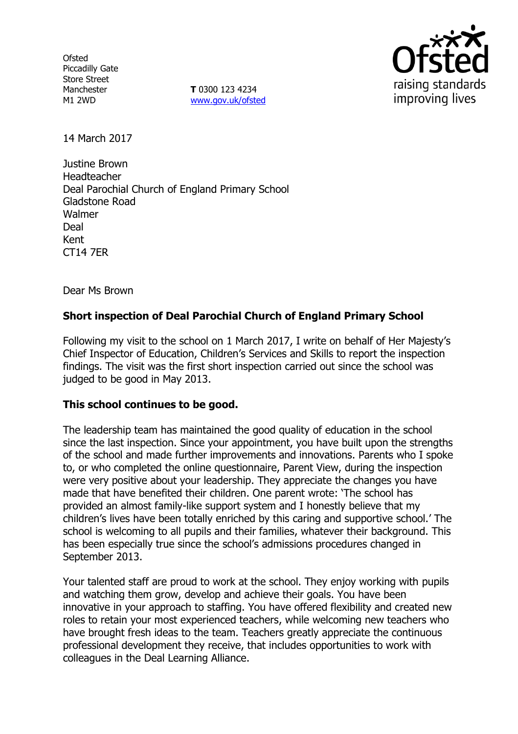**Ofsted** Piccadilly Gate Store Street Manchester M1 2WD

**T** 0300 123 4234 www.gov.uk/ofsted



14 March 2017

Justine Brown Headteacher Deal Parochial Church of England Primary School Gladstone Road Walmer Deal Kent CT14 7ER

Dear Ms Brown

# **Short inspection of Deal Parochial Church of England Primary School**

Following my visit to the school on 1 March 2017, I write on behalf of Her Majesty's Chief Inspector of Education, Children's Services and Skills to report the inspection findings. The visit was the first short inspection carried out since the school was judged to be good in May 2013.

### **This school continues to be good.**

The leadership team has maintained the good quality of education in the school since the last inspection. Since your appointment, you have built upon the strengths of the school and made further improvements and innovations. Parents who I spoke to, or who completed the online questionnaire, Parent View, during the inspection were very positive about your leadership. They appreciate the changes you have made that have benefited their children. One parent wrote: 'The school has provided an almost family-like support system and I honestly believe that my children's lives have been totally enriched by this caring and supportive school.' The school is welcoming to all pupils and their families, whatever their background. This has been especially true since the school's admissions procedures changed in September 2013.

Your talented staff are proud to work at the school. They enjoy working with pupils and watching them grow, develop and achieve their goals. You have been innovative in your approach to staffing. You have offered flexibility and created new roles to retain your most experienced teachers, while welcoming new teachers who have brought fresh ideas to the team. Teachers greatly appreciate the continuous professional development they receive, that includes opportunities to work with colleagues in the Deal Learning Alliance.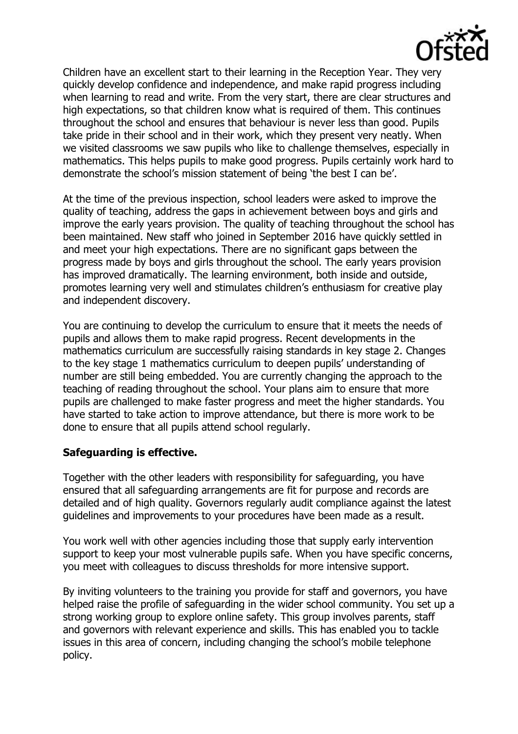

Children have an excellent start to their learning in the Reception Year. They very quickly develop confidence and independence, and make rapid progress including when learning to read and write. From the very start, there are clear structures and high expectations, so that children know what is required of them. This continues throughout the school and ensures that behaviour is never less than good. Pupils take pride in their school and in their work, which they present very neatly. When we visited classrooms we saw pupils who like to challenge themselves, especially in mathematics. This helps pupils to make good progress. Pupils certainly work hard to demonstrate the school's mission statement of being 'the best I can be'.

At the time of the previous inspection, school leaders were asked to improve the quality of teaching, address the gaps in achievement between boys and girls and improve the early years provision. The quality of teaching throughout the school has been maintained. New staff who joined in September 2016 have quickly settled in and meet your high expectations. There are no significant gaps between the progress made by boys and girls throughout the school. The early years provision has improved dramatically. The learning environment, both inside and outside, promotes learning very well and stimulates children's enthusiasm for creative play and independent discovery.

You are continuing to develop the curriculum to ensure that it meets the needs of pupils and allows them to make rapid progress. Recent developments in the mathematics curriculum are successfully raising standards in key stage 2. Changes to the key stage 1 mathematics curriculum to deepen pupils' understanding of number are still being embedded. You are currently changing the approach to the teaching of reading throughout the school. Your plans aim to ensure that more pupils are challenged to make faster progress and meet the higher standards. You have started to take action to improve attendance, but there is more work to be done to ensure that all pupils attend school regularly.

### **Safeguarding is effective.**

Together with the other leaders with responsibility for safeguarding, you have ensured that all safeguarding arrangements are fit for purpose and records are detailed and of high quality. Governors regularly audit compliance against the latest guidelines and improvements to your procedures have been made as a result.

You work well with other agencies including those that supply early intervention support to keep your most vulnerable pupils safe. When you have specific concerns, you meet with colleagues to discuss thresholds for more intensive support.

By inviting volunteers to the training you provide for staff and governors, you have helped raise the profile of safeguarding in the wider school community. You set up a strong working group to explore online safety. This group involves parents, staff and governors with relevant experience and skills. This has enabled you to tackle issues in this area of concern, including changing the school's mobile telephone policy.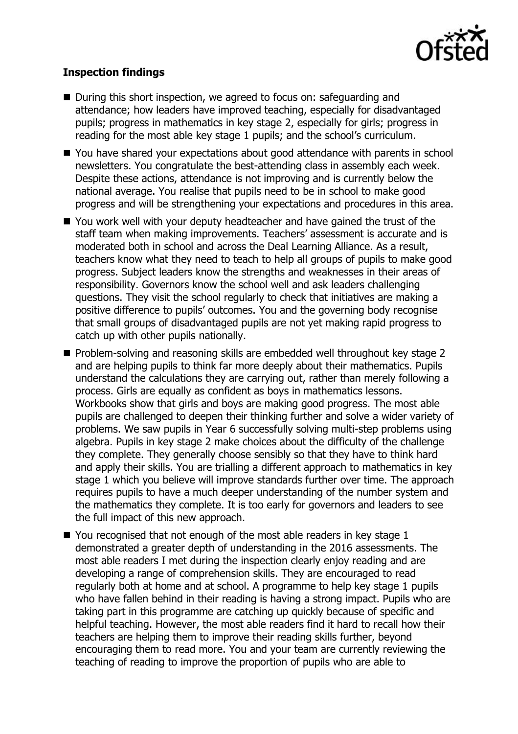

## **Inspection findings**

- During this short inspection, we agreed to focus on: safeguarding and attendance; how leaders have improved teaching, especially for disadvantaged pupils; progress in mathematics in key stage 2, especially for girls; progress in reading for the most able key stage 1 pupils; and the school's curriculum.
- You have shared your expectations about good attendance with parents in school newsletters. You congratulate the best-attending class in assembly each week. Despite these actions, attendance is not improving and is currently below the national average. You realise that pupils need to be in school to make good progress and will be strengthening your expectations and procedures in this area.
- You work well with your deputy headteacher and have gained the trust of the staff team when making improvements. Teachers' assessment is accurate and is moderated both in school and across the Deal Learning Alliance. As a result, teachers know what they need to teach to help all groups of pupils to make good progress. Subject leaders know the strengths and weaknesses in their areas of responsibility. Governors know the school well and ask leaders challenging questions. They visit the school regularly to check that initiatives are making a positive difference to pupils' outcomes. You and the governing body recognise that small groups of disadvantaged pupils are not yet making rapid progress to catch up with other pupils nationally.
- **Problem-solving and reasoning skills are embedded well throughout key stage 2** and are helping pupils to think far more deeply about their mathematics. Pupils understand the calculations they are carrying out, rather than merely following a process. Girls are equally as confident as boys in mathematics lessons. Workbooks show that girls and boys are making good progress. The most able pupils are challenged to deepen their thinking further and solve a wider variety of problems. We saw pupils in Year 6 successfully solving multi-step problems using algebra. Pupils in key stage 2 make choices about the difficulty of the challenge they complete. They generally choose sensibly so that they have to think hard and apply their skills. You are trialling a different approach to mathematics in key stage 1 which you believe will improve standards further over time. The approach requires pupils to have a much deeper understanding of the number system and the mathematics they complete. It is too early for governors and leaders to see the full impact of this new approach.
- $\blacksquare$  You recognised that not enough of the most able readers in key stage 1 demonstrated a greater depth of understanding in the 2016 assessments. The most able readers I met during the inspection clearly enjoy reading and are developing a range of comprehension skills. They are encouraged to read regularly both at home and at school. A programme to help key stage 1 pupils who have fallen behind in their reading is having a strong impact. Pupils who are taking part in this programme are catching up quickly because of specific and helpful teaching. However, the most able readers find it hard to recall how their teachers are helping them to improve their reading skills further, beyond encouraging them to read more. You and your team are currently reviewing the teaching of reading to improve the proportion of pupils who are able to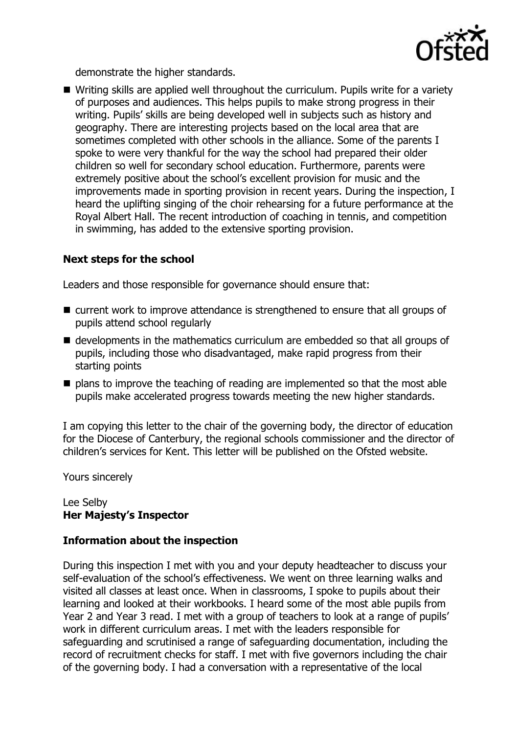

demonstrate the higher standards.

 Writing skills are applied well throughout the curriculum. Pupils write for a variety of purposes and audiences. This helps pupils to make strong progress in their writing. Pupils' skills are being developed well in subjects such as history and geography. There are interesting projects based on the local area that are sometimes completed with other schools in the alliance. Some of the parents I spoke to were very thankful for the way the school had prepared their older children so well for secondary school education. Furthermore, parents were extremely positive about the school's excellent provision for music and the improvements made in sporting provision in recent years. During the inspection, I heard the uplifting singing of the choir rehearsing for a future performance at the Royal Albert Hall. The recent introduction of coaching in tennis, and competition in swimming, has added to the extensive sporting provision.

## **Next steps for the school**

Leaders and those responsible for governance should ensure that:

- **E** current work to improve attendance is strengthened to ensure that all groups of pupils attend school regularly
- developments in the mathematics curriculum are embedded so that all groups of pupils, including those who disadvantaged, make rapid progress from their starting points
- $\blacksquare$  plans to improve the teaching of reading are implemented so that the most able pupils make accelerated progress towards meeting the new higher standards.

I am copying this letter to the chair of the governing body, the director of education for the Diocese of Canterbury, the regional schools commissioner and the director of children's services for Kent. This letter will be published on the Ofsted website.

Yours sincerely

### Lee Selby **Her Majesty's Inspector**

### **Information about the inspection**

During this inspection I met with you and your deputy headteacher to discuss your self-evaluation of the school's effectiveness. We went on three learning walks and visited all classes at least once. When in classrooms, I spoke to pupils about their learning and looked at their workbooks. I heard some of the most able pupils from Year 2 and Year 3 read. I met with a group of teachers to look at a range of pupils' work in different curriculum areas. I met with the leaders responsible for safeguarding and scrutinised a range of safeguarding documentation, including the record of recruitment checks for staff. I met with five governors including the chair of the governing body. I had a conversation with a representative of the local